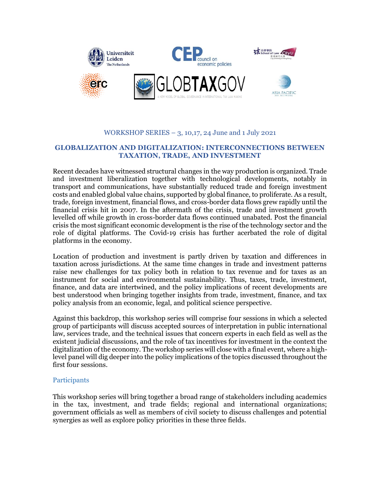

## WORKSHOP SERIES – 3, 10,17, 24 June and 1 July 2021

## **GLOBALIZATION AND DIGITALIZATION: INTERCONNECTIONS BETWEEN TAXATION, TRADE, AND INVESTMENT**

Recent decades have witnessed structural changes in the way production is organized. Trade and investment liberalization together with technological developments, notably in transport and communications, have substantially reduced trade and foreign investment costs and enabled global value chains, supported by global finance, to proliferate. As a result, trade, foreign investment, financial flows, and cross-border data flows grew rapidly until the financial crisis hit in 2007. In the aftermath of the crisis, trade and investment growth levelled off while growth in cross-border data flows continued unabated. Post the financial crisis the most significant economic development is the rise of the technology sector and the role of digital platforms. The Covid-19 crisis has further acerbated the role of digital platforms in the economy.

Location of production and investment is partly driven by taxation and differences in taxation across jurisdictions. At the same time changes in trade and investment patterns raise new challenges for tax policy both in relation to tax revenue and for taxes as an instrument for social and environmental sustainability. Thus, taxes, trade, investment, finance, and data are intertwined, and the policy implications of recent developments are best understood when bringing together insights from trade, investment, finance, and tax policy analysis from an economic, legal, and political science perspective.

Against this backdrop, this workshop series will comprise four sessions in which a selected group of participants will discuss accepted sources of interpretation in public international law, services trade, and the technical issues that concern experts in each field as well as the existent judicial discussions, and the role of tax incentives for investment in the context the digitalization of the economy. The workshop series will close with a final event, where a highlevel panel will dig deeper into the policy implications of the topics discussed throughout the first four sessions.

## **Participants**

This workshop series will bring together a broad range of stakeholders including academics in the tax, investment, and trade fields; regional and international organizations; government officials as well as members of civil society to discuss challenges and potential synergies as well as explore policy priorities in these three fields.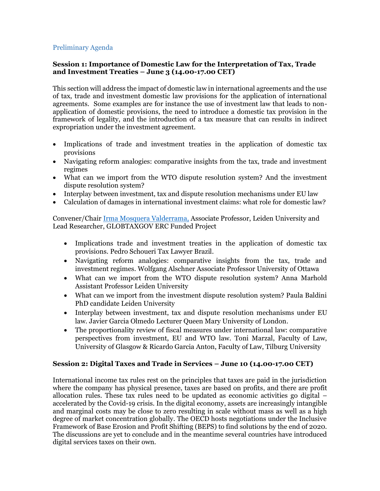## Preliminary Agenda

## **Session 1: Importance of Domestic Law for the Interpretation of Tax, Trade and Investment Treaties – June 3 (14.00-17.00 CET)**

This section will address the impact of domestic law in international agreements and the use of tax, trade and investment domestic law provisions for the application of international agreements. Some examples are for instance the use of investment law that leads to nonapplication of domestic provisions, the need to introduce a domestic tax provision in the framework of legality, and the introduction of a tax measure that can results in indirect expropriation under the investment agreement.

- Implications of trade and investment treaties in the application of domestic tax provisions
- Navigating reform analogies: comparative insights from the tax, trade and investment regimes
- What can we import from the WTO dispute resolution system? And the investment dispute resolution system?
- Interplay between investment, tax and dispute resolution mechanisms under EU law
- Calculation of damages in international investment claims: what role for domestic law?

Convener/Chair [Irma Mosquera Valderrama,](https://www.universiteitleiden.nl/en/staffmembers/irma-mosquera-valderrama#tab-1) Associate Professor, Leiden University and Lead Researcher, GLOBTAXGOV ERC Funded Project

- Implications trade and investment treaties in the application of domestic tax provisions. Pedro Schoueri Tax Lawyer Brazil.
- Navigating reform analogies: comparative insights from the tax, trade and investment regimes. Wolfgang Alschner Associate Professor University of Ottawa
- What can we import from the WTO dispute resolution system? Anna Marhold Assistant Professor Leiden University
- What can we import from the investment dispute resolution system? Paula Baldini PhD candidate Leiden University
- Interplay between investment, tax and dispute resolution mechanisms under EU law. Javier Garcia Olmedo Lecturer Queen Mary University of London.
- The proportionality review of fiscal measures under international law: comparative perspectives from investment, EU and WTO law. Toni Marzal, Faculty of Law, University of Glasgow & Ricardo Garcia Anton, Faculty of Law, Tilburg University

## **Session 2: Digital Taxes and Trade in Services – June 10 (14.00-17.00 CET)**

International income tax rules rest on the principles that taxes are paid in the jurisdiction where the company has physical presence, taxes are based on profits, and there are profit allocation rules. These tax rules need to be updated as economic activities go digital – accelerated by the Covid-19 crisis. In the digital economy, assets are increasingly intangible and marginal costs may be close to zero resulting in scale without mass as well as a high degree of market concentration globally. The OECD hosts negotiations under the Inclusive Framework of Base Erosion and Profit Shifting (BEPS) to find solutions by the end of 2020. The discussions are yet to conclude and in the meantime several countries have introduced digital services taxes on their own.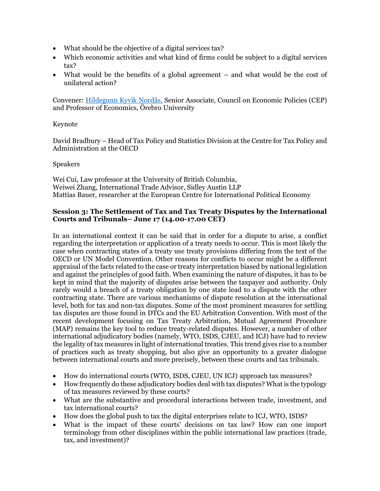- What should be the objective of a digital services tax?
- Which economic activities and what kind of firms could be subject to a digital services tax?
- What would be the benefits of a global agreement and what would be the cost of unilateral action?

Convener: [Hildegunn Kyvik Nordås,](https://www.cepweb.org/about/people/hildegunn-kyvik-nordas/) Senior Associate, Council on Economic Policies (CEP) and Professor of Economics, Örebro University

## Keynote

David Bradbury – Head of Tax Policy and Statistics Division at the Centre for Tax Policy and Administration at the OECD

#### Speakers

Wei Cui, Law professor at the University of British Columbia, Weiwei Zhang, International Trade Advisor, Sidley Austin LLP Mattias Bauer, researcher at the European Centre for International Political Economy

#### **Session 3: The Settlement of Tax and Tax Treaty Disputes by the International Courts and Tribunals– June 17 (14.00-17.00 CET)**

In an international context it can be said that in order for a dispute to arise, a conflict regarding the interpretation or application of a treaty needs to occur. This is most likely the case when contracting states of a treaty use treaty provisions differing from the text of the OECD or UN Model Convention. Other reasons for conflicts to occur might be a different appraisal of the facts related to the case or treaty interpretation biased by national legislation and against the principles of good faith. When examining the nature of disputes, it has to be kept in mind that the majority of disputes arise between the taxpayer and authority. Only rarely would a breach of a treaty obligation by one state lead to a dispute with the other contracting state. There are various mechanisms of dispute resolution at the international level, both for tax and non-tax disputes. Some of the most prominent measures for settling tax disputes are those found in DTCs and the EU Arbitration Convention. With most of the recent development focusing on Tax Treaty Arbitration, Mutual Agreement Procedure (MAP) remains the key tool to reduce treaty-related disputes. However, a number of other international adjudicatory bodies (namely, WTO, ISDS, CJEU, and ICJ) have had to review the legality of tax measures in light of international treaties. This trend gives rise to a number of practices such as treaty shopping, but also give an opportunity to a greater dialogue between international courts and more precisely, between these courts and tax tribunals.

- How do international courts (WTO, ISDS, CJEU, UN ICJ) approach tax measures?
- How frequently do these adjudicatory bodies deal with tax disputes? What is the typology of tax measures reviewed by these courts?
- What are the substantive and procedural interactions between trade, investment, and tax international courts?
- How does the global push to tax the digital enterprises relate to ICJ, WTO, ISDS?
- What is the impact of these courts' decisions on tax law? How can one import terminology from other disciplines within the public international law practices (trade, tax, and investment)?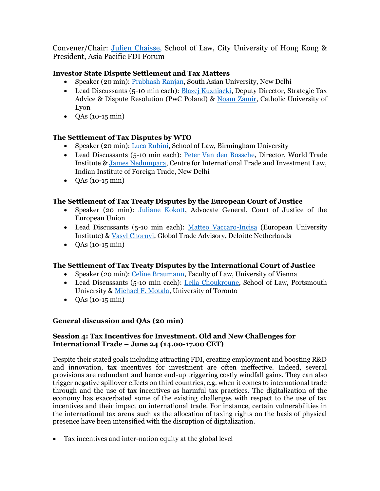Convener/Chair: [Julien Chaisse,](https://www.cityu.edu.hk/slw/people/people_chaisse_julien.html) School of Law, City University of Hong Kong & President, Asia Pacific FDI Forum

# **Investor State Dispute Settlement and Tax Matters**

- Speaker (20 min): [Prabhash Ranjan,](http://www.sau.int/faculty/faculty-profile.html?staff_id=65) South Asian University, New Delhi
- Lead Discussants (5-10 min each): [Blazej Kuzniacki,](https://www.linkedin.com/in/blazejkuzniacki/?originalSubdomain=pl) Deputy Director, Strategic Tax Advice & Dispute Resolution (PwC Poland) & [Noam Zamir,](https://www.linkedin.com/in/noam-zamir-999455b6/?originalSubdomain=fr) Catholic University of Lyon
- $OAs (10-15 min)$

## **The Settlement of Tax Disputes by WTO**

- Speaker (20 min): *Luca Rubini*, School of Law, Birmingham University
- Lead Discussants (5-10 min each): [Peter Van den Bossche,](https://www.wti.org/institute/people/410/van-den-bossche-peter/) Director, World Trade Institute & [James Nedumpara,](http://ctil.iift.ac.in/head.aspx) Centre for International Trade and Investment Law, Indian Institute of Foreign Trade, New Delhi
- $QAs (10-15 min)$

## **The Settlement of Tax Treaty Disputes by the European Court of Justice**

- Speaker (20 min): [Juliane Kokott,](https://curia.europa.eu/jcms/jcms/rc4_170588/en/) Advocate General, Court of Justice of the European Union
- Lead Discussants (5-10 min each): [Matteo Vaccaro-Incisa](https://www.carnelutti.com/people/vaccaro-incisa-matteo/) (European University Institute) & [Vasyl Chornyi,](https://www.linkedin.com/in/vasyl-chornyi-90037ab5/?originalSubdomain=nl) Global Trade Advisory, Deloitte Netherlands
- $QAs (10-15 min)$

## **The Settlement of Tax Treaty Disputes by the International Court of Justice**

- Speaker (20 min): [Celine Braumann,](https://eur-int-comp-law.univie.ac.at/en/team/further-staff/braumann-celine/) Faculty of Law, University of Vienna
- Lead Discussants (5-10 min each): [Leila Choukroune,](https://www.port.ac.uk/about-us/structure-and-governance/our-people/our-staff/leila-choukroune) School of Law, Portsmouth University [& Michael F. Motala,](http://www.michaelmotala.com/about) University of Toronto
- QAs (10-15 min)

## **General discussion and QAs (20 min)**

## **Session 4: Tax Incentives for Investment. Old and New Challenges for International Trade – June 24 (14.00-17.00 CET)**

Despite their stated goals including attracting FDI, creating employment and boosting R&D and innovation, tax incentives for investment are often ineffective. Indeed, several provisions are redundant and hence end-up triggering costly windfall gains. They can also trigger negative spillover effects on third countries, e.g. when it comes to international trade through and the use of tax incentives as harmful tax practices. The digitalization of the economy has exacerbated some of the existing challenges with respect to the use of tax incentives and their impact on international trade. For instance, certain vulnerabilities in the international tax arena such as the allocation of taxing rights on the basis of physical presence have been intensified with the disruption of digitalization.

• Tax incentives and inter-nation equity at the global level